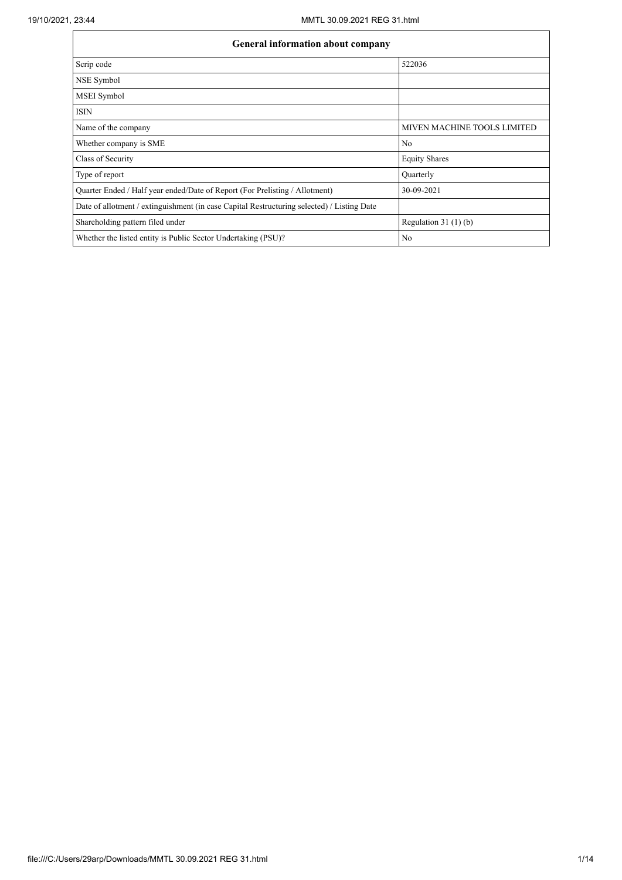| General information about company                                                          |                                    |
|--------------------------------------------------------------------------------------------|------------------------------------|
| Scrip code                                                                                 | 522036                             |
| NSE Symbol                                                                                 |                                    |
| <b>MSEI</b> Symbol                                                                         |                                    |
| <b>ISIN</b>                                                                                |                                    |
| Name of the company                                                                        | <b>MIVEN MACHINE TOOLS LIMITED</b> |
| Whether company is SME                                                                     | No                                 |
| Class of Security                                                                          | <b>Equity Shares</b>               |
| Type of report                                                                             | Quarterly                          |
| Quarter Ended / Half year ended/Date of Report (For Prelisting / Allotment)                | 30-09-2021                         |
| Date of allotment / extinguishment (in case Capital Restructuring selected) / Listing Date |                                    |
| Shareholding pattern filed under                                                           | Regulation $31(1)(b)$              |
| Whether the listed entity is Public Sector Undertaking (PSU)?                              | No                                 |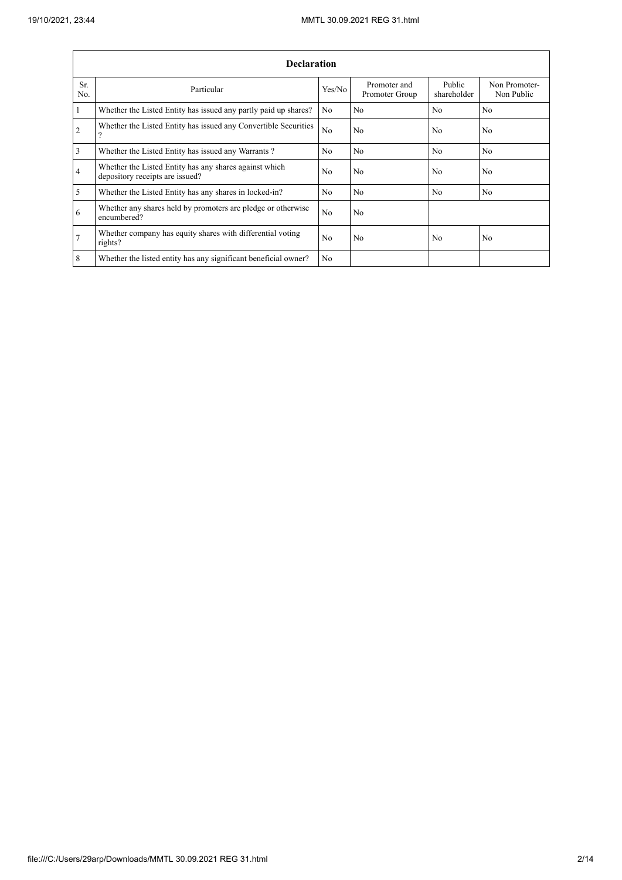$\overline{1}$ 

L,

|                 | <b>Declaration</b>                                                                          |                |                                |                       |                             |
|-----------------|---------------------------------------------------------------------------------------------|----------------|--------------------------------|-----------------------|-----------------------------|
| Sr.<br>No.      | Particular                                                                                  | Yes/No         | Promoter and<br>Promoter Group | Public<br>shareholder | Non Promoter-<br>Non Public |
| $\vert$ 1       | Whether the Listed Entity has issued any partly paid up shares?                             | No             | No                             | N <sub>o</sub>        | N <sub>0</sub>              |
| $\overline{2}$  | Whether the Listed Entity has issued any Convertible Securities<br>$\overline{\mathcal{L}}$ | N <sub>o</sub> | N <sub>0</sub>                 | N <sub>0</sub>        | N <sub>0</sub>              |
| $\overline{3}$  | Whether the Listed Entity has issued any Warrants?                                          | N <sub>o</sub> | No                             | N <sub>o</sub>        | No.                         |
| $\overline{4}$  | Whether the Listed Entity has any shares against which<br>depository receipts are issued?   | No             | No                             | No                    | N <sub>o</sub>              |
| $\overline{5}$  | Whether the Listed Entity has any shares in locked-in?                                      | N <sub>o</sub> | N <sub>o</sub>                 | No                    | N <sub>o</sub>              |
| 6               | Whether any shares held by promoters are pledge or otherwise<br>encumbered?                 | N <sub>o</sub> | No                             |                       |                             |
| $7\overline{ }$ | Whether company has equity shares with differential voting<br>rights?                       | N <sub>o</sub> | No                             | No                    | N <sub>o</sub>              |
| $8\phantom{.}8$ | Whether the listed entity has any significant beneficial owner?                             | N <sub>o</sub> |                                |                       |                             |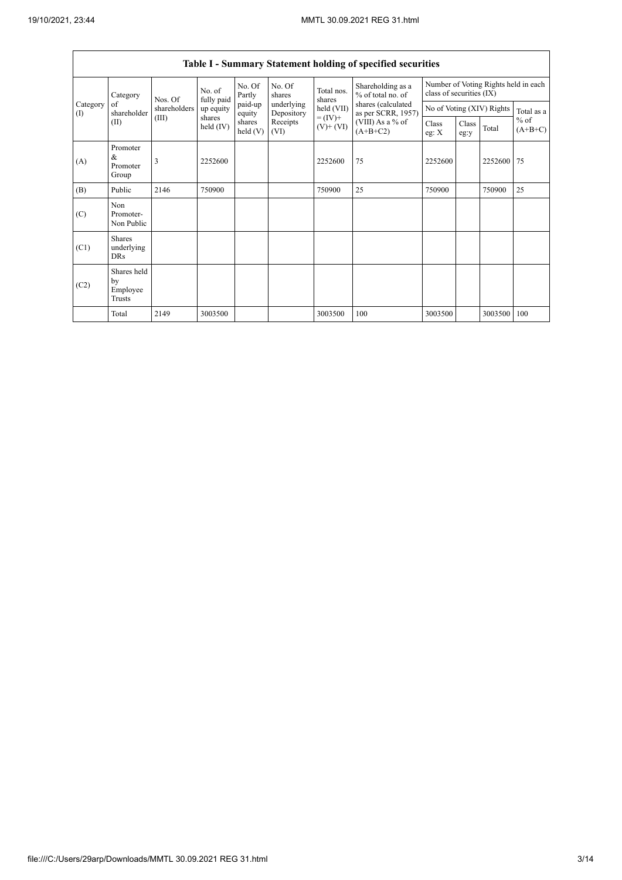$\overline{\phantom{a}}$ 

|                                        |                                           |              |                       |                      |                          |                              | Table I - Summary Statement holding of specified securities |                  |                                                                  |         |                     |
|----------------------------------------|-------------------------------------------|--------------|-----------------------|----------------------|--------------------------|------------------------------|-------------------------------------------------------------|------------------|------------------------------------------------------------------|---------|---------------------|
|                                        | Category                                  | Nos. Of      | No. of<br>fully paid  | No. Of<br>Partly     | No. Of<br>shares         | Total nos.<br>shares         | Shareholding as a<br>$%$ of total no. of                    |                  | Number of Voting Rights held in each<br>class of securities (IX) |         |                     |
| Category<br>$\left( \mathrm{I}\right)$ | of<br>shareholder                         | shareholders | up equity             | paid-up<br>equity    | underlying<br>Depository | held (VII)                   | shares (calculated<br>as per SCRR, 1957)                    |                  | No of Voting (XIV) Rights                                        |         | Total as a          |
|                                        | (II)                                      | (III)        | shares<br>held $(IV)$ | shares<br>held $(V)$ | Receipts<br>(VI)         | $= (IV) +$<br>$(V)$ + $(VI)$ | $(VIII)$ As a % of<br>$(A+B+C2)$                            | Class<br>eg: $X$ | Class<br>eg:y                                                    | Total   | $%$ of<br>$(A+B+C)$ |
| (A)                                    | Promoter<br>&<br>Promoter<br>Group        | 3            | 2252600               |                      |                          | 2252600                      | 75                                                          | 2252600          |                                                                  | 2252600 | 75                  |
| (B)                                    | Public                                    | 2146         | 750900                |                      |                          | 750900                       | 25                                                          | 750900           |                                                                  | 750900  | 25                  |
| (C)                                    | Non<br>Promoter-<br>Non Public            |              |                       |                      |                          |                              |                                                             |                  |                                                                  |         |                     |
| (C1)                                   | <b>Shares</b><br>underlying<br><b>DRs</b> |              |                       |                      |                          |                              |                                                             |                  |                                                                  |         |                     |
| (C2)                                   | Shares held<br>by<br>Employee<br>Trusts   |              |                       |                      |                          |                              |                                                             |                  |                                                                  |         |                     |
|                                        | Total                                     | 2149         | 3003500               |                      |                          | 3003500                      | 100                                                         | 3003500          |                                                                  | 3003500 | 100                 |

٦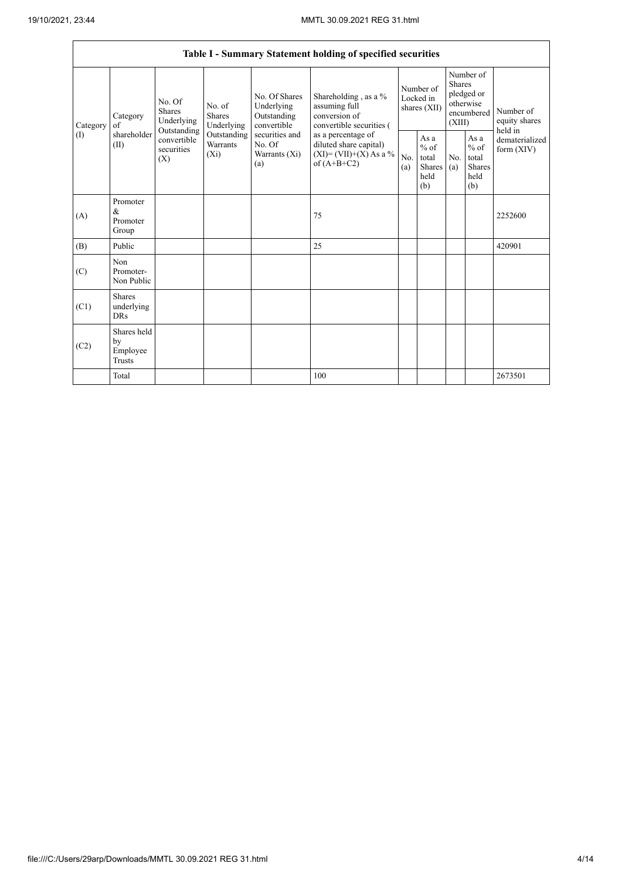|          |                                                |                                               |                                           |                                                           | Table I - Summary Statement holding of specified securities                                |            |                                                          |                         |                                                         |                                       |
|----------|------------------------------------------------|-----------------------------------------------|-------------------------------------------|-----------------------------------------------------------|--------------------------------------------------------------------------------------------|------------|----------------------------------------------------------|-------------------------|---------------------------------------------------------|---------------------------------------|
| Category | Category<br>of                                 | No. Of<br>Shares<br>Underlying<br>Outstanding | No. of<br>Shares<br>Underlying            | No. Of Shares<br>Underlying<br>Outstanding<br>convertible | Shareholding, as a %<br>assuming full<br>conversion of<br>convertible securities (         |            | Number of<br>Locked in<br>shares (XII)                   | <b>Shares</b><br>(XIII) | Number of<br>pledged or<br>otherwise<br>encumbered      | Number of<br>equity shares<br>held in |
| $\rm(I)$ | shareholder<br>(II)                            | convertible<br>securities<br>(X)              | Outstanding<br><b>Warrants</b><br>$(X_i)$ | securities and<br>No. Of<br>Warrants (Xi)<br>(a)          | as a percentage of<br>diluted share capital)<br>$(XI) = (VII)+(X) As a %$<br>of $(A+B+C2)$ | No.<br>(a) | As a<br>$\%$ of<br>total<br><b>Shares</b><br>held<br>(b) | No.<br>(a)              | As a<br>$%$ of<br>total<br><b>Shares</b><br>held<br>(b) | dematerialized<br>form $(XIV)$        |
| (A)      | Promoter<br>$\&$<br>Promoter<br>Group          |                                               |                                           |                                                           | 75                                                                                         |            |                                                          |                         |                                                         | 2252600                               |
| (B)      | Public                                         |                                               |                                           |                                                           | 25                                                                                         |            |                                                          |                         |                                                         | 420901                                |
| (C)      | Non<br>Promoter-<br>Non Public                 |                                               |                                           |                                                           |                                                                                            |            |                                                          |                         |                                                         |                                       |
| (C1)     | <b>Shares</b><br>underlying<br><b>DRs</b>      |                                               |                                           |                                                           |                                                                                            |            |                                                          |                         |                                                         |                                       |
| (C2)     | Shares held<br>by<br>Employee<br><b>Trusts</b> |                                               |                                           |                                                           |                                                                                            |            |                                                          |                         |                                                         |                                       |
|          | Total                                          |                                               |                                           |                                                           | 100                                                                                        |            |                                                          |                         |                                                         | 2673501                               |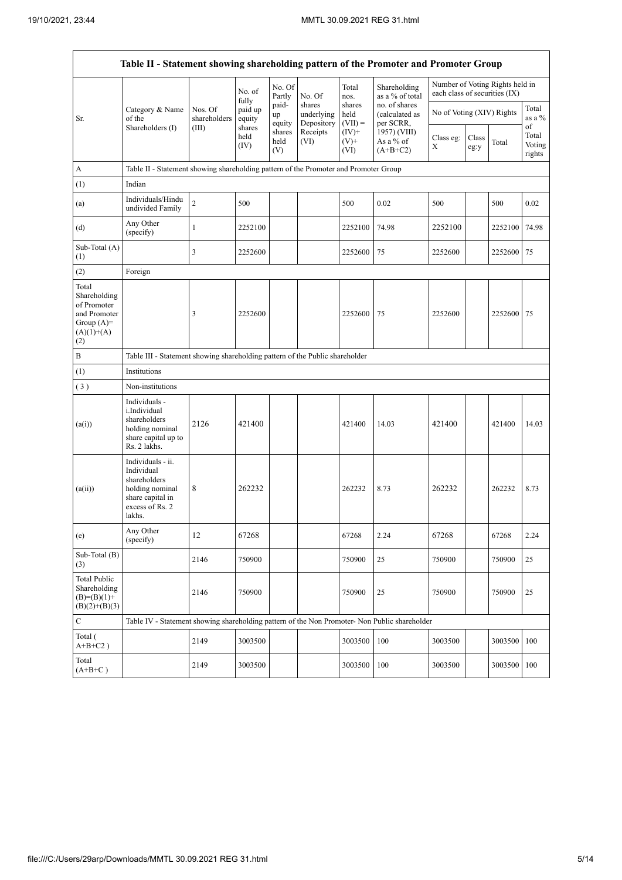.

L,

|                                                                                             | Table II - Statement showing shareholding pattern of the Promoter and Promoter Group                                |                         |                            |                       |                                    |                             |                                              |                               |               |                                 |                           |
|---------------------------------------------------------------------------------------------|---------------------------------------------------------------------------------------------------------------------|-------------------------|----------------------------|-----------------------|------------------------------------|-----------------------------|----------------------------------------------|-------------------------------|---------------|---------------------------------|---------------------------|
|                                                                                             |                                                                                                                     |                         | No. of                     | No. Of<br>Partly      | No. Of                             | Total<br>nos.               | Shareholding<br>as a % of total              | each class of securities (IX) |               | Number of Voting Rights held in |                           |
| Sr.                                                                                         | Category & Name<br>of the                                                                                           | Nos. Of<br>shareholders | fully<br>paid up<br>equity | paid-<br>up<br>equity | shares<br>underlying<br>Depository | shares<br>held<br>$(VII) =$ | no. of shares<br>(calculated as<br>per SCRR, | No of Voting (XIV) Rights     |               |                                 | Total<br>as a $\%$<br>of  |
|                                                                                             | Shareholders (I)                                                                                                    | (III)                   | shares<br>held<br>(IV)     | shares<br>held<br>(V) | Receipts<br>(VI)                   | $(IV)^+$<br>$(V)$ +<br>(VI) | 1957) (VIII)<br>As a % of<br>$(A+B+C2)$      | Class eg:<br>X                | Class<br>eg:y | Total                           | Total<br>Voting<br>rights |
| A                                                                                           | Table II - Statement showing shareholding pattern of the Promoter and Promoter Group                                |                         |                            |                       |                                    |                             |                                              |                               |               |                                 |                           |
| (1)                                                                                         | Indian                                                                                                              |                         |                            |                       |                                    |                             |                                              |                               |               |                                 |                           |
| (a)                                                                                         | Individuals/Hindu<br>undivided Family                                                                               | $\overline{c}$          | 500                        |                       |                                    | 500                         | 0.02                                         | 500                           |               | 500                             | 0.02                      |
| (d)                                                                                         | Any Other<br>(specify)                                                                                              | $\mathbf{1}$            | 2252100                    |                       |                                    | 2252100                     | 74.98                                        | 2252100                       |               | 2252100                         | 74.98                     |
| Sub-Total (A)<br>(1)                                                                        |                                                                                                                     | 3                       | 2252600                    |                       |                                    | 2252600                     | 75                                           | 2252600                       |               | 2252600 75                      |                           |
| (2)                                                                                         | Foreign                                                                                                             |                         |                            |                       |                                    |                             |                                              |                               |               |                                 |                           |
| Total<br>Shareholding<br>of Promoter<br>and Promoter<br>Group $(A)=$<br>$(A)(1)+(A)$<br>(2) |                                                                                                                     | 3                       | 2252600                    |                       |                                    | 2252600                     | 75                                           | 2252600                       |               | 2252600 75                      |                           |
| $\, {\bf B}$                                                                                | Table III - Statement showing shareholding pattern of the Public shareholder                                        |                         |                            |                       |                                    |                             |                                              |                               |               |                                 |                           |
| (1)                                                                                         | Institutions                                                                                                        |                         |                            |                       |                                    |                             |                                              |                               |               |                                 |                           |
| (3)                                                                                         | Non-institutions                                                                                                    |                         |                            |                       |                                    |                             |                                              |                               |               |                                 |                           |
| (a(i))                                                                                      | Individuals -<br>i.Individual<br>shareholders<br>holding nominal<br>share capital up to<br>Rs. 2 lakhs.             | 2126                    | 421400                     |                       |                                    | 421400                      | 14.03                                        | 421400                        |               | 421400                          | 14.03                     |
| (a(ii))                                                                                     | Individuals - ii.<br>Individual<br>shareholders<br>holding nominal<br>share capital in<br>excess of Rs. 2<br>lakhs. | 8                       | 262232                     |                       |                                    | 262232                      | 8.73                                         | 262232                        |               | 262232                          | 8.73                      |
| (e)                                                                                         | Any Other<br>(specify)                                                                                              | 12                      | 67268                      |                       |                                    | 67268                       | 2.24                                         | 67268                         |               | 67268                           | 2.24                      |
| Sub-Total (B)<br>(3)                                                                        |                                                                                                                     | 2146                    | 750900                     |                       |                                    | 750900                      | 25                                           | 750900                        |               | 750900                          | 25                        |
| <b>Total Public</b><br>Shareholding<br>$(B)=(B)(1)+$<br>$(B)(2)+(B)(3)$                     |                                                                                                                     | 2146                    | 750900                     |                       |                                    | 750900                      | 25                                           | 750900                        |               | 750900                          | 25                        |
| $\mathbf C$                                                                                 | Table IV - Statement showing shareholding pattern of the Non Promoter- Non Public shareholder                       |                         |                            |                       |                                    |                             |                                              |                               |               |                                 |                           |
| Total (<br>$A+B+C2$ )                                                                       |                                                                                                                     | 2149                    | 3003500                    |                       |                                    | 3003500                     | 100                                          | 3003500                       |               | 3003500                         | 100                       |
| Total<br>$(A+B+C)$                                                                          |                                                                                                                     | 2149                    | 3003500                    |                       |                                    | 3003500                     | 100                                          | 3003500                       |               | 3003500 100                     |                           |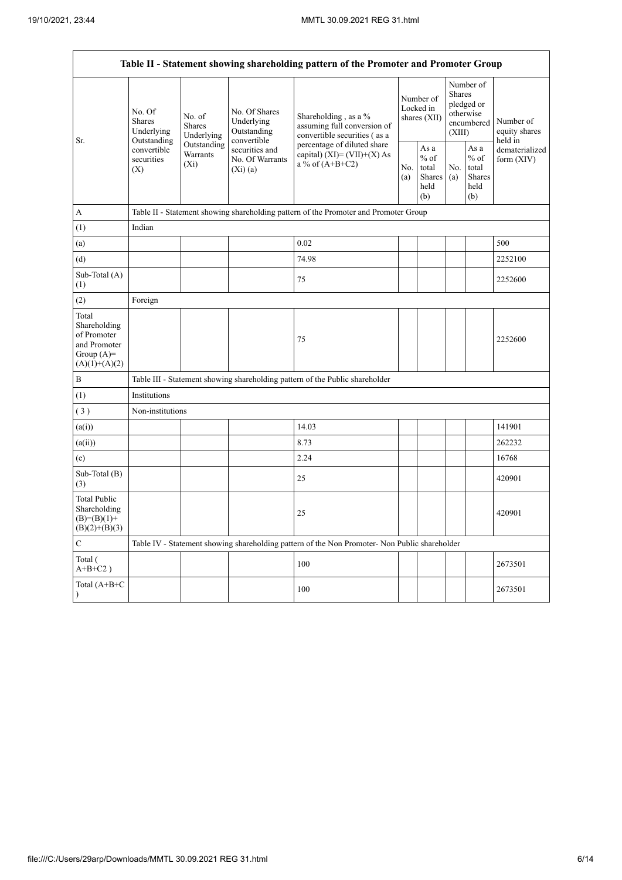|                                                                                         |                                                 |                                                                                                   |                                            | Table II - Statement showing shareholding pattern of the Promoter and Promoter Group          |            |                                                                                                                  |            |                                                          |                              |
|-----------------------------------------------------------------------------------------|-------------------------------------------------|---------------------------------------------------------------------------------------------------|--------------------------------------------|-----------------------------------------------------------------------------------------------|------------|------------------------------------------------------------------------------------------------------------------|------------|----------------------------------------------------------|------------------------------|
|                                                                                         | No. Of<br><b>Shares</b><br>Underlying           | No. of<br>Shares<br>Underlying                                                                    | No. Of Shares<br>Underlying<br>Outstanding | Shareholding, as a %<br>assuming full conversion of<br>convertible securities (as a           |            | Number of<br>Shares<br>Number of<br>pledged or<br>Locked in<br>otherwise<br>shares (XII)<br>encumbered<br>(XIII) |            | Number of<br>equity shares<br>held in                    |                              |
| Sr.                                                                                     | Outstanding<br>convertible<br>securities<br>(X) | convertible<br>Outstanding<br>securities and<br>Warrants<br>No. Of Warrants<br>$(X_i)$<br>(Xi)(a) |                                            | percentage of diluted share<br>capital) $(XI) = (VII)+(X) As$<br>a % of $(A+B+C2)$            | No.<br>(a) | As a<br>$%$ of<br>total<br>Shares<br>held<br>(b)                                                                 | No.<br>(a) | As a<br>$\%$ of<br>total<br><b>Shares</b><br>held<br>(b) | dematerialized<br>form (XIV) |
| А                                                                                       |                                                 |                                                                                                   |                                            | Table II - Statement showing shareholding pattern of the Promoter and Promoter Group          |            |                                                                                                                  |            |                                                          |                              |
| (1)                                                                                     | Indian                                          |                                                                                                   |                                            |                                                                                               |            |                                                                                                                  |            |                                                          |                              |
| (a)                                                                                     |                                                 |                                                                                                   |                                            | 0.02                                                                                          |            |                                                                                                                  |            |                                                          | 500                          |
| (d)                                                                                     |                                                 |                                                                                                   |                                            | 74.98                                                                                         |            |                                                                                                                  |            |                                                          | 2252100                      |
| Sub-Total (A)<br>(1)                                                                    |                                                 |                                                                                                   |                                            | 75                                                                                            |            |                                                                                                                  |            |                                                          | 2252600                      |
| (2)                                                                                     | Foreign                                         |                                                                                                   |                                            |                                                                                               |            |                                                                                                                  |            |                                                          |                              |
| Total<br>Shareholding<br>of Promoter<br>and Promoter<br>Group $(A)=$<br>$(A)(1)+(A)(2)$ |                                                 |                                                                                                   |                                            | 75                                                                                            |            |                                                                                                                  |            |                                                          | 2252600                      |
| B                                                                                       |                                                 |                                                                                                   |                                            | Table III - Statement showing shareholding pattern of the Public shareholder                  |            |                                                                                                                  |            |                                                          |                              |
| (1)                                                                                     | Institutions                                    |                                                                                                   |                                            |                                                                                               |            |                                                                                                                  |            |                                                          |                              |
| (3)                                                                                     | Non-institutions                                |                                                                                                   |                                            |                                                                                               |            |                                                                                                                  |            |                                                          |                              |
| (a(i))                                                                                  |                                                 |                                                                                                   |                                            | 14.03                                                                                         |            |                                                                                                                  |            |                                                          | 141901                       |
| (a(ii))                                                                                 |                                                 |                                                                                                   |                                            | 8.73                                                                                          |            |                                                                                                                  |            |                                                          | 262232                       |
| (e)                                                                                     |                                                 |                                                                                                   |                                            | 2.24                                                                                          |            |                                                                                                                  |            |                                                          | 16768                        |
| Sub-Total (B)<br>(3)                                                                    |                                                 |                                                                                                   |                                            | 25                                                                                            |            |                                                                                                                  |            |                                                          | 420901                       |
| Total Public<br>Shareholding<br>$(B)=(B)(1)+$<br>$(B)(2)+(B)(3)$                        |                                                 |                                                                                                   |                                            | 25                                                                                            |            |                                                                                                                  |            |                                                          | 420901                       |
| C                                                                                       |                                                 |                                                                                                   |                                            | Table IV - Statement showing shareholding pattern of the Non Promoter- Non Public shareholder |            |                                                                                                                  |            |                                                          |                              |
| Total (<br>$A+B+C2$ )                                                                   |                                                 |                                                                                                   |                                            | 100                                                                                           |            |                                                                                                                  |            |                                                          | 2673501                      |
| Total (A+B+C                                                                            |                                                 |                                                                                                   |                                            | 100                                                                                           |            |                                                                                                                  |            |                                                          | 2673501                      |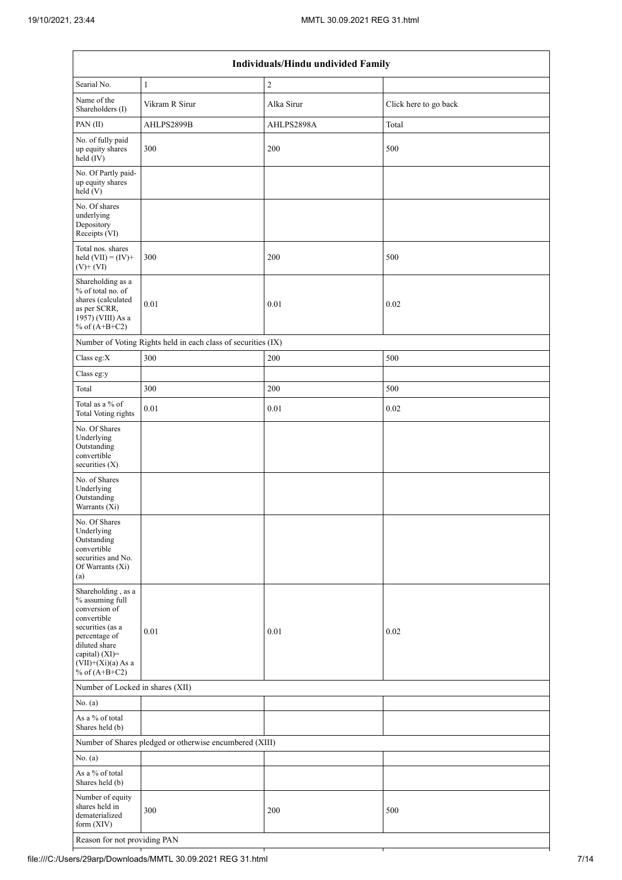|                                                                                                                                                                                          |                                                               | Individuals/Hindu undivided Family |                       |
|------------------------------------------------------------------------------------------------------------------------------------------------------------------------------------------|---------------------------------------------------------------|------------------------------------|-----------------------|
| Searial No.                                                                                                                                                                              | $\mathbf{1}$                                                  | $\overline{c}$                     |                       |
| Name of the<br>Shareholders (I)                                                                                                                                                          | Vikram R Sirur                                                | Alka Sirur                         | Click here to go back |
| PAN(II)                                                                                                                                                                                  | AHLPS2899B                                                    | AHLPS2898A                         | Total                 |
| No. of fully paid<br>up equity shares<br>held (IV)                                                                                                                                       | 300                                                           | 200                                | 500                   |
| No. Of Partly paid-<br>up equity shares<br>held (V)                                                                                                                                      |                                                               |                                    |                       |
| No. Of shares<br>underlying<br>Depository<br>Receipts (VI)                                                                                                                               |                                                               |                                    |                       |
| Total nos. shares<br>held $(VII) = (IV) +$<br>$(V)$ + $(VI)$                                                                                                                             | 300                                                           | 200                                | 500                   |
| Shareholding as a<br>% of total no. of<br>shares (calculated<br>as per SCRR,<br>1957) (VIII) As a<br>% of $(A+B+C2)$                                                                     | 0.01                                                          | 0.01                               | 0.02                  |
|                                                                                                                                                                                          | Number of Voting Rights held in each class of securities (IX) |                                    |                       |
| Class eg:X                                                                                                                                                                               | 300                                                           | 200                                | 500                   |
| Class eg:y                                                                                                                                                                               |                                                               |                                    |                       |
| Total                                                                                                                                                                                    | 300                                                           | 200                                | 500                   |
| Total as a % of<br><b>Total Voting rights</b>                                                                                                                                            | 0.01                                                          | 0.01                               | 0.02                  |
| No. Of Shares<br>Underlying<br>Outstanding<br>convertible<br>securities $(X)$                                                                                                            |                                                               |                                    |                       |
| No. of Shares<br>Underlying<br>Outstanding<br>Warrants (Xi)                                                                                                                              |                                                               |                                    |                       |
| No. Of Shares<br>Underlying<br>Outstanding<br>convertible<br>securities and No.<br>Of Warrants (Xi)<br>(a)                                                                               |                                                               |                                    |                       |
| Shareholding, as a<br>% assuming full<br>conversion of<br>convertible<br>securities (as a<br>percentage of<br>diluted share<br>capital) (XI)=<br>$(VII)+(Xi)(a)$ As a<br>% of $(A+B+C2)$ | 0.01                                                          | 0.01                               | 0.02                  |
| Number of Locked in shares (XII)                                                                                                                                                         |                                                               |                                    |                       |
| No. (a)                                                                                                                                                                                  |                                                               |                                    |                       |
| As a % of total<br>Shares held (b)                                                                                                                                                       |                                                               |                                    |                       |
|                                                                                                                                                                                          | Number of Shares pledged or otherwise encumbered (XIII)       |                                    |                       |
| No. (a)                                                                                                                                                                                  |                                                               |                                    |                       |
| As a % of total<br>Shares held (b)                                                                                                                                                       |                                                               |                                    |                       |
| Number of equity<br>shares held in<br>dematerialized<br>form (XIV)                                                                                                                       | 300                                                           | 200                                | 500                   |
| Reason for not providing PAN                                                                                                                                                             |                                                               |                                    |                       |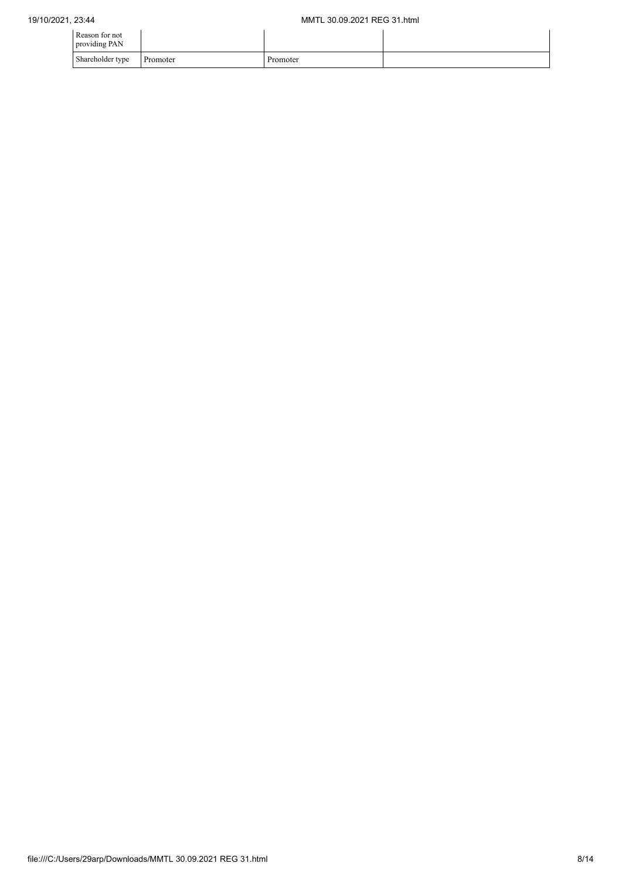| Reason for not<br>providing PAN |          |          |  |
|---------------------------------|----------|----------|--|
| Shareholder type                | Promoter | Promoter |  |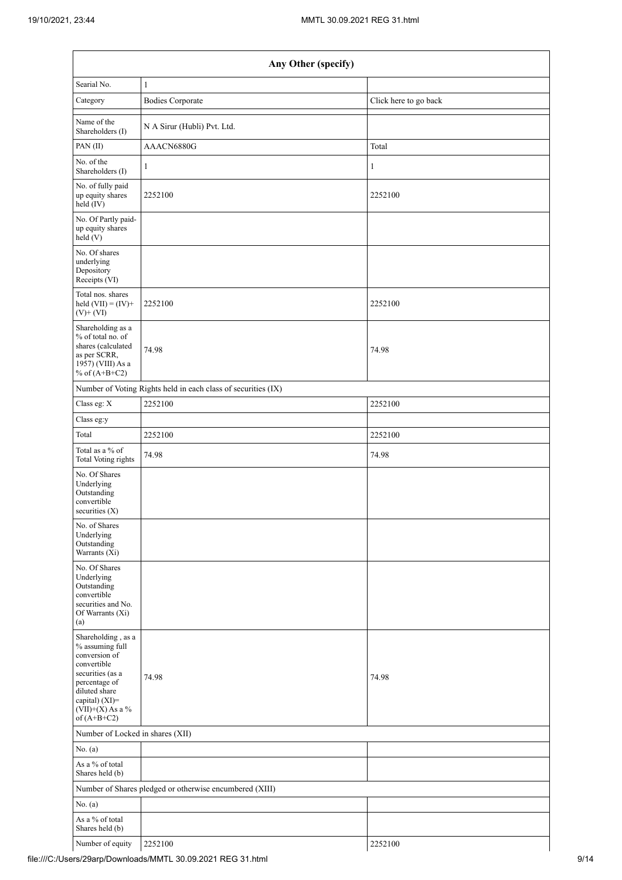|                                                                                                                                                                                      | Any Other (specify)                                           |                       |
|--------------------------------------------------------------------------------------------------------------------------------------------------------------------------------------|---------------------------------------------------------------|-----------------------|
| Searial No.                                                                                                                                                                          | $\mathbf{1}$                                                  |                       |
| Category                                                                                                                                                                             | <b>Bodies Corporate</b>                                       | Click here to go back |
| Name of the<br>Shareholders (I)                                                                                                                                                      | N A Sirur (Hubli) Pvt. Ltd.                                   |                       |
| PAN(II)                                                                                                                                                                              | AAACN6880G                                                    | Total                 |
| No. of the<br>Shareholders (I)                                                                                                                                                       | $\mathbf{1}$                                                  | $\mathbf{1}$          |
| No. of fully paid<br>up equity shares<br>$\text{held}(\text{IV})$                                                                                                                    | 2252100                                                       | 2252100               |
| No. Of Partly paid-<br>up equity shares<br>held (V)                                                                                                                                  |                                                               |                       |
| No. Of shares<br>underlying<br>Depository<br>Receipts (VI)                                                                                                                           |                                                               |                       |
| Total nos. shares<br>held $(VII) = (IV) +$<br>$(V)$ + $(VI)$                                                                                                                         | 2252100                                                       | 2252100               |
| Shareholding as a<br>% of total no. of<br>shares (calculated<br>as per SCRR,<br>1957) (VIII) As a<br>% of $(A+B+C2)$                                                                 | 74.98                                                         | 74.98                 |
|                                                                                                                                                                                      | Number of Voting Rights held in each class of securities (IX) |                       |
| Class eg: X                                                                                                                                                                          | 2252100                                                       | 2252100               |
| Class eg:y                                                                                                                                                                           |                                                               |                       |
| Total                                                                                                                                                                                | 2252100                                                       | 2252100               |
| Total as a % of<br>Total Voting rights                                                                                                                                               | 74.98                                                         | 74.98                 |
| No. Of Shares<br>Underlying<br>Outstanding<br>convertible<br>securities $(X)$                                                                                                        |                                                               |                       |
| No. of Shares<br>Underlying<br>Outstanding<br>Warrants (Xi)                                                                                                                          |                                                               |                       |
| No. Of Shares<br>Underlying<br>Outstanding<br>convertible<br>securities and No.<br>Of Warrants (Xi)<br>(a)                                                                           |                                                               |                       |
| Shareholding, as a<br>% assuming full<br>conversion of<br>convertible<br>securities (as a<br>percentage of<br>diluted share<br>capital) (XI)=<br>$(VII)+(X)$ As a %<br>of $(A+B+C2)$ | 74.98                                                         | 74.98                 |
| Number of Locked in shares (XII)                                                                                                                                                     |                                                               |                       |
| No. (a)                                                                                                                                                                              |                                                               |                       |
| As a % of total<br>Shares held (b)                                                                                                                                                   |                                                               |                       |
|                                                                                                                                                                                      | Number of Shares pledged or otherwise encumbered (XIII)       |                       |
| No. (a)                                                                                                                                                                              |                                                               |                       |
| As a % of total<br>Shares held (b)                                                                                                                                                   |                                                               |                       |
| Number of equity                                                                                                                                                                     | 2252100                                                       | 2252100               |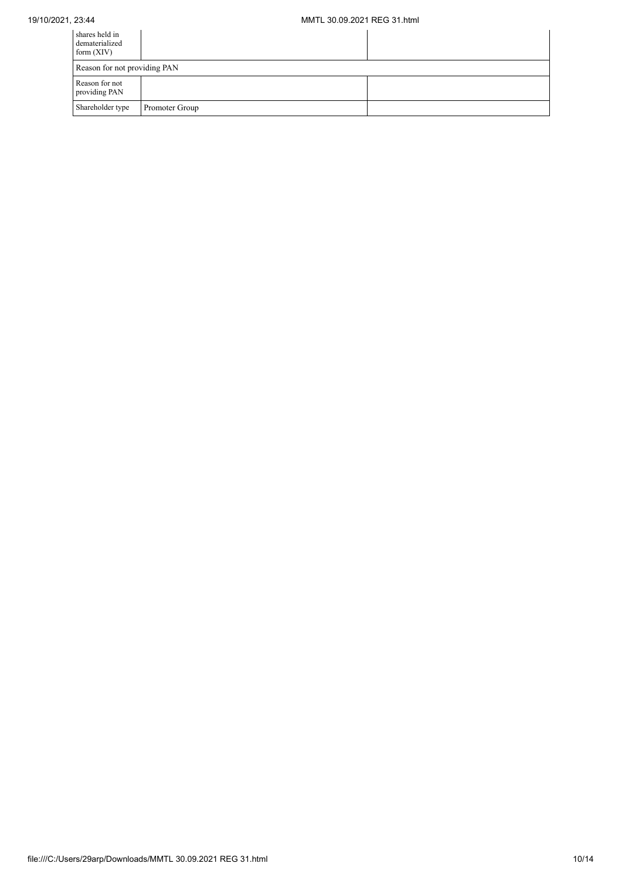## 19/10/2021, 23:44 MMTL 30.09.2021 REG 31.html

| shares held in<br>dematerialized<br>form $(XIV)$ |                |  |
|--------------------------------------------------|----------------|--|
| Reason for not providing PAN                     |                |  |
| Reason for not<br>providing PAN                  |                |  |
| Shareholder type                                 | Promoter Group |  |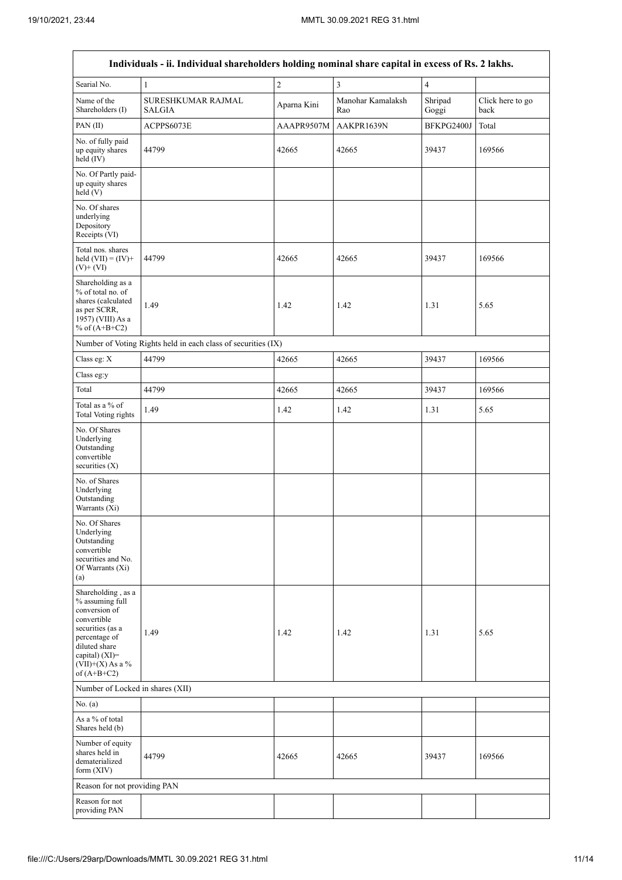$\overline{\phantom{a}}$ 

|                                                                                                                                                                                         | Individuals - ii. Individual shareholders holding nominal share capital in excess of Rs. 2 lakhs. |             |                          |                  |                          |
|-----------------------------------------------------------------------------------------------------------------------------------------------------------------------------------------|---------------------------------------------------------------------------------------------------|-------------|--------------------------|------------------|--------------------------|
| Searial No.                                                                                                                                                                             | $\mathbf{1}$                                                                                      | $\sqrt{2}$  | $\mathfrak{Z}$           | $\overline{4}$   |                          |
| Name of the<br>Shareholders (I)                                                                                                                                                         | SURESHKUMAR RAJMAL<br><b>SALGIA</b>                                                               | Aparna Kini | Manohar Kamalaksh<br>Rao | Shripad<br>Goggi | Click here to go<br>back |
| PAN(II)                                                                                                                                                                                 | ACPPS6073E                                                                                        | AAAPR9507M  | AAKPR1639N               | BFKPG2400J       | Total                    |
| No. of fully paid<br>up equity shares<br>held (IV)                                                                                                                                      | 44799                                                                                             | 42665       | 42665                    | 39437            | 169566                   |
| No. Of Partly paid-<br>up equity shares<br>held (V)                                                                                                                                     |                                                                                                   |             |                          |                  |                          |
| No. Of shares<br>underlying<br>Depository<br>Receipts (VI)                                                                                                                              |                                                                                                   |             |                          |                  |                          |
| Total nos. shares<br>held $(VII) = (IV) +$<br>$(V)$ + $(VI)$                                                                                                                            | 44799                                                                                             | 42665       | 42665                    | 39437            | 169566                   |
| Shareholding as a<br>% of total no. of<br>shares (calculated<br>as per SCRR,<br>1957) (VIII) As a<br>% of $(A+B+C2)$                                                                    | 1.49                                                                                              | 1.42        | 1.42                     | 1.31             | 5.65                     |
|                                                                                                                                                                                         | Number of Voting Rights held in each class of securities (IX)                                     |             |                          |                  |                          |
| Class eg: X                                                                                                                                                                             | 44799                                                                                             | 42665       | 42665                    | 39437            | 169566                   |
| Class eg:y                                                                                                                                                                              |                                                                                                   |             |                          |                  |                          |
| Total                                                                                                                                                                                   | 44799                                                                                             | 42665       | 42665                    | 39437            | 169566                   |
| Total as a % of<br><b>Total Voting rights</b>                                                                                                                                           | 1.49                                                                                              | 1.42        | 1.42                     | 1.31             | 5.65                     |
| No. Of Shares<br>Underlying<br>Outstanding<br>convertible<br>securities $(X)$                                                                                                           |                                                                                                   |             |                          |                  |                          |
| No. of Shares<br>Underlying<br>Outstanding<br>Warrants (Xi)                                                                                                                             |                                                                                                   |             |                          |                  |                          |
| No. Of Shares<br>Underlying<br>Outstanding<br>convertible<br>securities and No.<br>Of Warrants (Xi)<br>(a)                                                                              |                                                                                                   |             |                          |                  |                          |
| Shareholding, as a<br>% assuming full<br>conversion of<br>convertible<br>securities (as a<br>percentage of<br>diluted share<br>capital) $(XI)$ =<br>$(VII)+(X)$ As a %<br>of $(A+B+C2)$ | 1.49                                                                                              | 1.42        | 1.42                     | 1.31             | 5.65                     |
| Number of Locked in shares (XII)                                                                                                                                                        |                                                                                                   |             |                          |                  |                          |
| No. (a)                                                                                                                                                                                 |                                                                                                   |             |                          |                  |                          |
| As a % of total<br>Shares held (b)                                                                                                                                                      |                                                                                                   |             |                          |                  |                          |
| Number of equity<br>shares held in<br>dematerialized<br>form $(XIV)$                                                                                                                    | 44799                                                                                             | 42665       | 42665                    | 39437            | 169566                   |
| Reason for not providing PAN                                                                                                                                                            |                                                                                                   |             |                          |                  |                          |
| Reason for not<br>providing PAN                                                                                                                                                         |                                                                                                   |             |                          |                  |                          |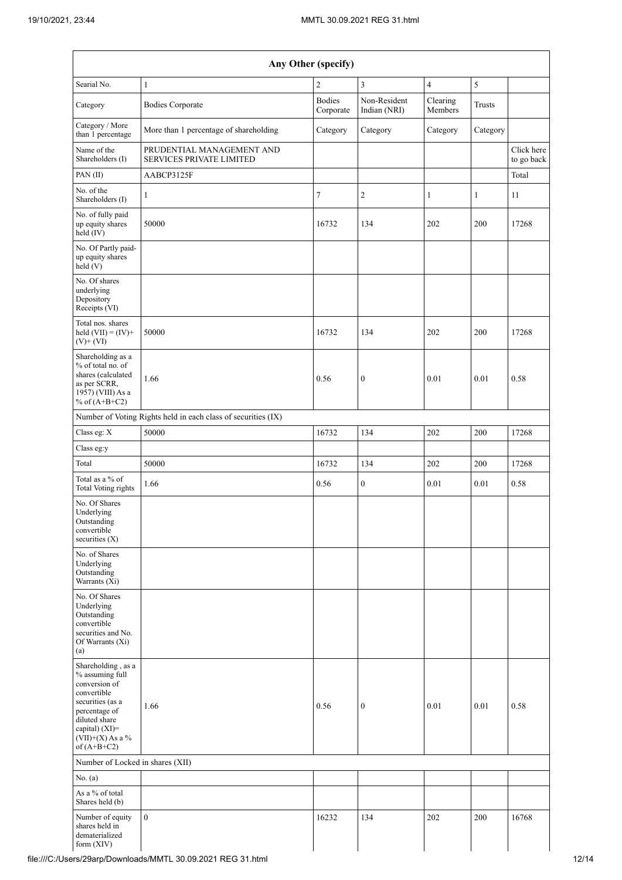| Searial No.                                                                                                                                                                        | $\mathbf{1}$                                                  | $\overline{c}$             | 3                            | $\overline{4}$      | 5             |                          |
|------------------------------------------------------------------------------------------------------------------------------------------------------------------------------------|---------------------------------------------------------------|----------------------------|------------------------------|---------------------|---------------|--------------------------|
| Category                                                                                                                                                                           | <b>Bodies Corporate</b>                                       | <b>Bodies</b><br>Corporate | Non-Resident<br>Indian (NRI) | Clearing<br>Members | <b>Trusts</b> |                          |
| Category / More<br>than 1 percentage                                                                                                                                               | More than 1 percentage of shareholding                        | Category                   | Category                     | Category            | Category      |                          |
| Name of the<br>Shareholders (I)                                                                                                                                                    | PRUDENTIAL MANAGEMENT AND<br>SERVICES PRIVATE LIMITED         |                            |                              |                     |               | Click here<br>to go back |
| PAN(II)                                                                                                                                                                            | AABCP3125F                                                    |                            |                              |                     |               | Total                    |
| No. of the<br>Shareholders (I)                                                                                                                                                     | $\mathbf{1}$                                                  | $\boldsymbol{7}$           | $\sqrt{2}$                   | 1                   | 1             | 11                       |
| No. of fully paid<br>up equity shares<br>$\text{held} (IV)$                                                                                                                        | 50000                                                         | 16732                      | 134                          | 202                 | 200           | 17268                    |
| No. Of Partly paid-<br>up equity shares<br>held(V)                                                                                                                                 |                                                               |                            |                              |                     |               |                          |
| No. Of shares<br>underlying<br>Depository<br>Receipts (VI)                                                                                                                         |                                                               |                            |                              |                     |               |                          |
| Total nos. shares<br>held $(VII) = (IV) +$<br>$(V)$ + $(VI)$                                                                                                                       | 50000                                                         | 16732                      | 134                          | 202                 | 200           | 17268                    |
| Shareholding as a<br>% of total no. of<br>shares (calculated<br>as per SCRR,<br>1957) (VIII) As a<br>% of $(A+B+C2)$                                                               | 1.66                                                          | 0.56                       | $\boldsymbol{0}$             | 0.01                | 0.01          | 0.58                     |
|                                                                                                                                                                                    | Number of Voting Rights held in each class of securities (IX) |                            |                              |                     |               |                          |
| Class eg: X                                                                                                                                                                        | 50000                                                         | 16732                      | 134                          | 202                 | 200           | 17268                    |
| Class eg:y                                                                                                                                                                         |                                                               |                            |                              |                     |               |                          |
| Total                                                                                                                                                                              | 50000                                                         | 16732                      | 134                          | 202                 | 200           | 17268                    |
| Total as a % of<br><b>Total Voting rights</b>                                                                                                                                      | 1.66                                                          | 0.56                       | $\boldsymbol{0}$             | $0.01\,$            | 0.01          | 0.58                     |
| No. Of Shares<br>Underlying<br>Outstanding<br>convertible<br>securities $(X)$                                                                                                      |                                                               |                            |                              |                     |               |                          |
| No. of Shares<br>Underlying<br>Outstanding<br>Warrants (Xi)                                                                                                                        |                                                               |                            |                              |                     |               |                          |
| No. Of Shares<br>Underlying<br>Outstanding<br>convertible<br>securities and No.<br>Of Warrants (Xi)<br>(a)                                                                         |                                                               |                            |                              |                     |               |                          |
| Shareholding, as a<br>% assuming full<br>conversion of<br>convertible<br>securities (as a<br>percentage of<br>diluted share<br>capital) (XI)=<br>(VII)+(X) As a %<br>of $(A+B+C2)$ | 1.66                                                          | 0.56                       | $\boldsymbol{0}$             | 0.01                | 0.01          | 0.58                     |
| Number of Locked in shares (XII)                                                                                                                                                   |                                                               |                            |                              |                     |               |                          |
| No. $(a)$                                                                                                                                                                          |                                                               |                            |                              |                     |               |                          |
| As a $\%$ of total<br>Shares held (b)                                                                                                                                              |                                                               |                            |                              |                     |               |                          |
| Number of equity<br>shares held in<br>dematerialized                                                                                                                               | $\boldsymbol{0}$                                              | 16232                      | 134                          | 202                 | 200           | 16768                    |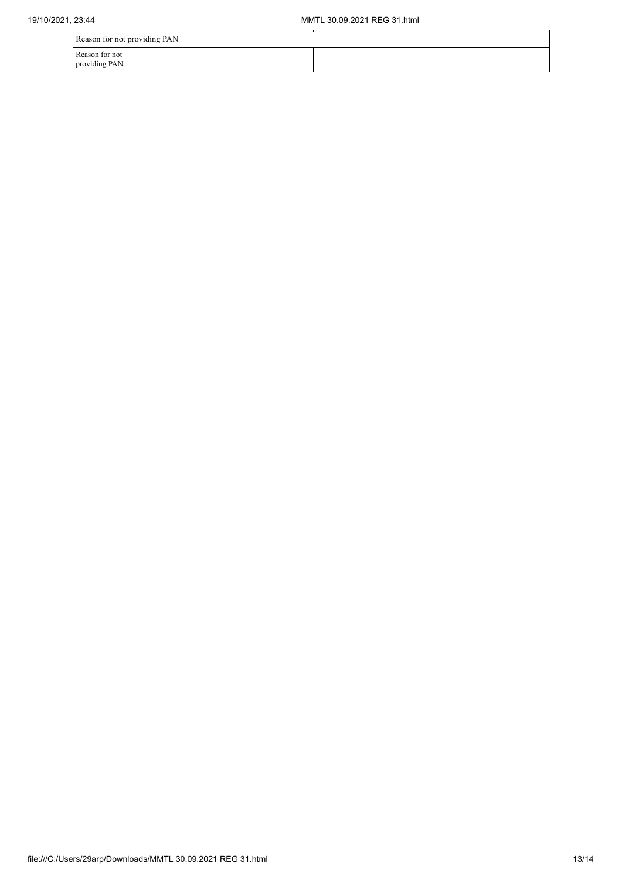| 19/10/2021, 23:44 | MMTL 30.09.2021 REG 31.html     |  |  |  |  |  |  |
|-------------------|---------------------------------|--|--|--|--|--|--|
|                   | Reason for not providing PAN    |  |  |  |  |  |  |
|                   | Reason for not<br>providing PAN |  |  |  |  |  |  |